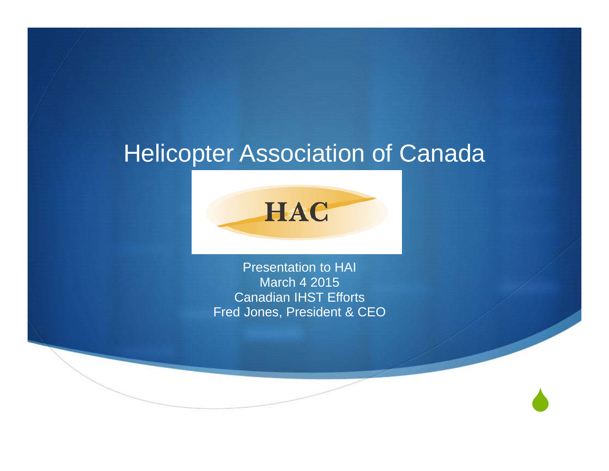#### Helicopter Association of Canada



Presentation to HAI March 4 2015 Canadian IHST Efforts Fred Jones, President & CEO

 $\blacklozenge$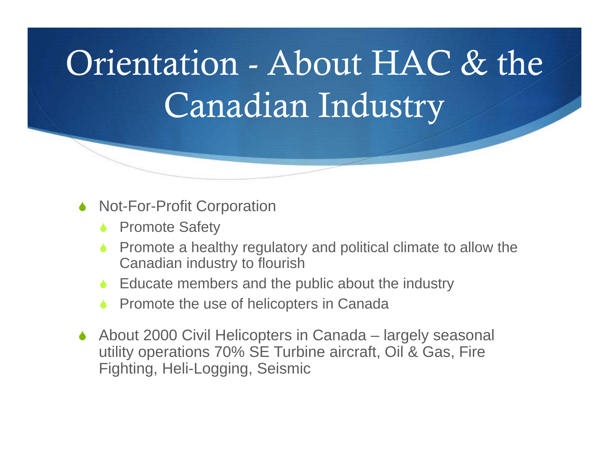# Orientation - About HAC & the Canadian Industry

- $\blacklozenge$  Not-For-Profit Corporation
	- $\blacklozenge$ Promote Safety
	- $\blacklozenge$  Promote a healthy regulatory and political climate to allow the Canadian industry to flourish
	- ◆ Educate members and the public about the industry
	- $\blacklozenge$ Promote the use of helicopters in Canada
- $\blacklozenge$  About 2000 Civil Helicopters in Canada – largely seasonal utility operations 70% SE Turbine aircraft, Oil & Gas, Fire Fighting, Heli-Logging, Seismic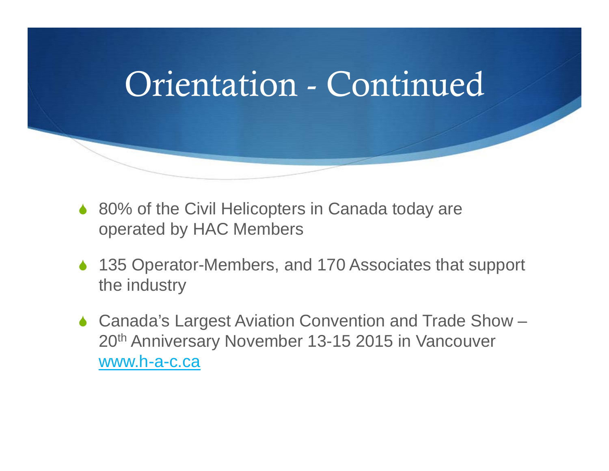

- ◆ 80% of the Civil Helicopters in Canada today are operated by HAC Members
- ◆ 135 Operator-Members, and 170 Associates that support the industry
- ◆ Canada's Largest Aviation Convention and Trade Show 20th Anniversary November 13-15 2015 in Vancouver www.h-a-c.ca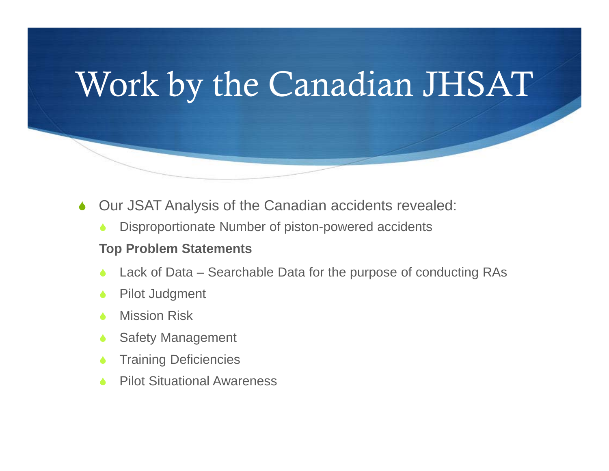## Work by the Canadian JHSAT

- $\blacklozenge$  Our JSAT Analysis of the Canadian accidents revealed:
	- è Disproportionate Number of piston-powered accidents

#### **Top Problem Statements**

- è Lack of Data – Searchable Data for the purpose of conducting RAs
- è Pilot Judgment
- Ò Mission Risk
- Ò Safety Management
- è Training Deficiencies
- Ò Pilot Situational Awareness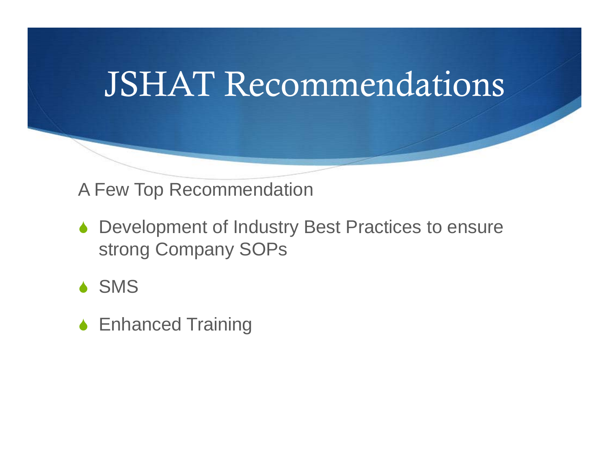### JSHAT Recommendations

#### A Few Top Recommendation

- ◆ Development of Industry Best Practices to ensure strong Company SOPs
- ◆ SMS
- **◆ Enhanced Training**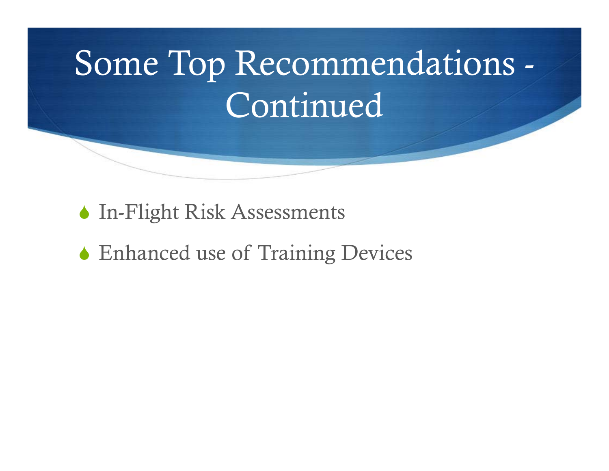# Some Top Recommendations - Continued

- In-Flight Risk Assessments
- Enhanced use of Training Devices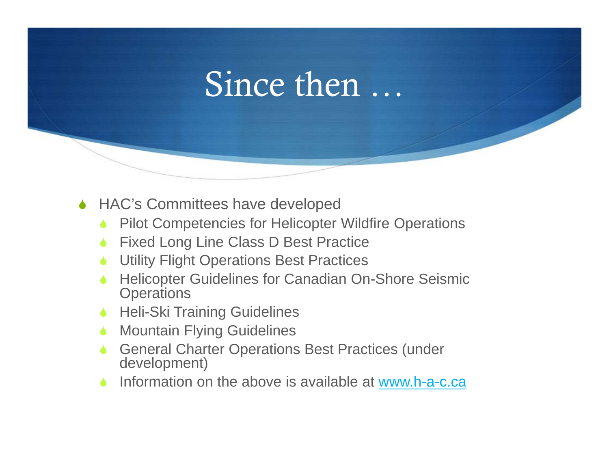### Since then …

- ◆ HAC's Committees have developed
	- $\blacklozenge$ Pilot Competencies for Helicopter Wildfire Operations
	- $\blacklozenge$ Fixed Long Line Class D Best Practice
	- $\blacktriangle$ Utility Flight Operations Best Practices
	- $\blacklozenge$  Helicopter Guidelines for Canadian On-Shore Seismic **Operations**
	- $\blacktriangle$ Heli-Ski Training Guidelines
	- $\bullet$ Mountain Flying Guidelines
	- $\blacklozenge$  General Charter Operations Best Practices (under development)
	- $\blacklozenge$ Information on the above is available at www.h-a-c.ca